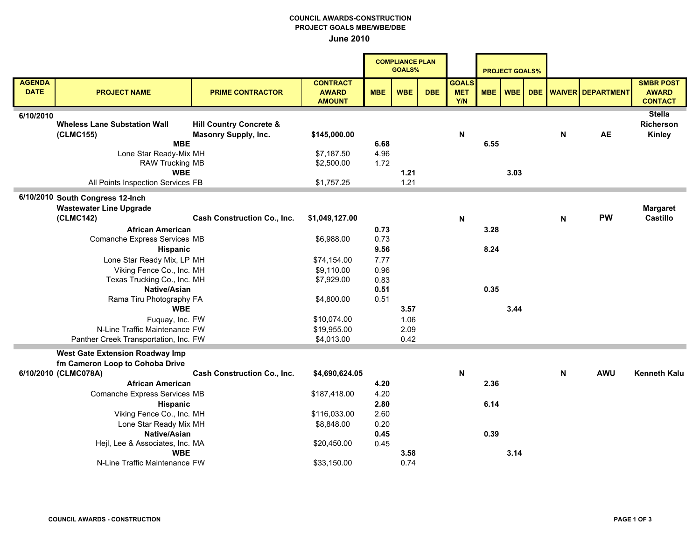## COUNCIL AWARDS-CONSTRUCTION PROJECT GOALS MBE/WBE/DBE June 2010

|                              |                                                  |                                    |                                                  |              | <b>COMPLIANCE PLAN</b><br><b>GOALS%</b> |            |                                   |            | <b>PROJECT GOALS%</b> |            |   |                          |                                                    |
|------------------------------|--------------------------------------------------|------------------------------------|--------------------------------------------------|--------------|-----------------------------------------|------------|-----------------------------------|------------|-----------------------|------------|---|--------------------------|----------------------------------------------------|
| <b>AGENDA</b><br><b>DATE</b> | <b>PROJECT NAME</b>                              | <b>PRIME CONTRACTOR</b>            | <b>CONTRACT</b><br><b>AWARD</b><br><b>AMOUNT</b> | <b>MBE</b>   | <b>WBE</b>                              | <b>DBE</b> | <b>GOALS</b><br><b>MET</b><br>Y/N | <b>MBE</b> | <b>WBE</b>            | <b>DBE</b> |   | <b>WAIVER DEPARTMENT</b> | <b>SMBR POST</b><br><b>AWARD</b><br><b>CONTACT</b> |
| 6/10/2010                    |                                                  |                                    |                                                  |              |                                         |            |                                   |            |                       |            |   |                          | <b>Stella</b>                                      |
|                              | <b>Wheless Lane Substation Wall</b>              | <b>Hill Country Concrete &amp;</b> |                                                  |              |                                         |            |                                   |            |                       |            |   |                          | <b>Richerson</b>                                   |
|                              | (CLMC155)                                        | <b>Masonry Supply, Inc.</b>        | \$145,000.00                                     |              |                                         |            | N                                 |            |                       |            | N | <b>AE</b>                | <b>Kinley</b>                                      |
|                              | <b>MBE</b>                                       |                                    |                                                  | 6.68<br>4.96 |                                         |            |                                   | 6.55       |                       |            |   |                          |                                                    |
|                              | Lone Star Ready-Mix MH<br><b>RAW Trucking MB</b> |                                    | \$7,187.50<br>\$2,500.00                         | 1.72         |                                         |            |                                   |            |                       |            |   |                          |                                                    |
|                              | <b>WBE</b>                                       |                                    |                                                  |              | 1.21                                    |            |                                   |            | 3.03                  |            |   |                          |                                                    |
|                              | All Points Inspection Services FB                |                                    | \$1,757.25                                       |              | 1.21                                    |            |                                   |            |                       |            |   |                          |                                                    |
|                              |                                                  |                                    |                                                  |              |                                         |            |                                   |            |                       |            |   |                          |                                                    |
|                              | 6/10/2010 South Congress 12-Inch                 |                                    |                                                  |              |                                         |            |                                   |            |                       |            |   |                          |                                                    |
|                              | <b>Wastewater Line Upgrade</b>                   |                                    |                                                  |              |                                         |            |                                   |            |                       |            |   |                          | <b>Margaret</b>                                    |
|                              | (CLMC142)                                        | <b>Cash Construction Co., Inc.</b> | \$1,049,127.00                                   |              |                                         |            | N                                 |            |                       |            | N | <b>PW</b>                | <b>Castillo</b>                                    |
|                              | <b>African American</b>                          |                                    |                                                  | 0.73         |                                         |            |                                   | 3.28       |                       |            |   |                          |                                                    |
|                              | Comanche Express Services MB                     |                                    |                                                  | 0.73         |                                         |            |                                   |            |                       |            |   |                          |                                                    |
| <b>Hispanic</b>              |                                                  |                                    |                                                  | 9.56         |                                         |            |                                   | 8.24       |                       |            |   |                          |                                                    |
|                              | Lone Star Ready Mix, LP MH                       |                                    |                                                  | 7.77         |                                         |            |                                   |            |                       |            |   |                          |                                                    |
| Viking Fence Co., Inc. MH    |                                                  | \$9,110.00                         | 0.96                                             |              |                                         |            |                                   |            |                       |            |   |                          |                                                    |
|                              | Texas Trucking Co., Inc. MH                      |                                    | \$7,929.00                                       | 0.83         |                                         |            |                                   |            |                       |            |   |                          |                                                    |
|                              | Native/Asian                                     |                                    |                                                  | 0.51         |                                         |            |                                   | 0.35       |                       |            |   |                          |                                                    |
|                              | Rama Tiru Photography FA                         |                                    | \$4,800.00                                       | 0.51         |                                         |            |                                   |            |                       |            |   |                          |                                                    |
|                              | <b>WBE</b>                                       |                                    |                                                  |              | 3.57                                    |            |                                   |            | 3.44                  |            |   |                          |                                                    |
|                              | Fuquay, Inc. FW                                  |                                    | \$10,074.00                                      |              | 1.06                                    |            |                                   |            |                       |            |   |                          |                                                    |
|                              | N-Line Traffic Maintenance FW                    |                                    | \$19,955.00                                      |              | 2.09                                    |            |                                   |            |                       |            |   |                          |                                                    |
|                              | Panther Creek Transportation, Inc. FW            |                                    | \$4,013.00                                       |              | 0.42                                    |            |                                   |            |                       |            |   |                          |                                                    |
|                              | <b>West Gate Extension Roadway Imp</b>           |                                    |                                                  |              |                                         |            |                                   |            |                       |            |   |                          |                                                    |
|                              | fm Cameron Loop to Cohoba Drive                  |                                    |                                                  |              |                                         |            |                                   |            |                       |            |   |                          |                                                    |
|                              | 6/10/2010 (CLMC078A)                             | <b>Cash Construction Co., Inc.</b> | \$4,690,624.05                                   |              |                                         |            | N                                 |            |                       |            | N | <b>AWU</b>               | <b>Kenneth Kalu</b>                                |
|                              | <b>African American</b>                          |                                    |                                                  | 4.20         |                                         |            |                                   | 2.36       |                       |            |   |                          |                                                    |
| Comanche Express Services MB |                                                  |                                    | \$187,418.00                                     | 4.20         |                                         |            |                                   |            |                       |            |   |                          |                                                    |
| <b>Hispanic</b>              |                                                  |                                    |                                                  | 2.80         |                                         |            |                                   | 6.14       |                       |            |   |                          |                                                    |
| Viking Fence Co., Inc. MH    |                                                  |                                    | \$116,033.00                                     | 2.60         |                                         |            |                                   |            |                       |            |   |                          |                                                    |
| Lone Star Ready Mix MH       |                                                  |                                    | \$8,848.00                                       | 0.20         |                                         |            |                                   |            |                       |            |   |                          |                                                    |
| Native/Asian                 |                                                  |                                    |                                                  | 0.45         |                                         |            |                                   | 0.39       |                       |            |   |                          |                                                    |
|                              | Hejl, Lee & Associates, Inc. MA                  |                                    | \$20,450.00                                      | 0.45         |                                         |            |                                   |            |                       |            |   |                          |                                                    |
|                              | <b>WBE</b>                                       |                                    |                                                  |              | 3.58                                    |            |                                   |            | 3.14                  |            |   |                          |                                                    |
|                              | N-Line Traffic Maintenance FW                    |                                    | \$33,150.00                                      |              | 0.74                                    |            |                                   |            |                       |            |   |                          |                                                    |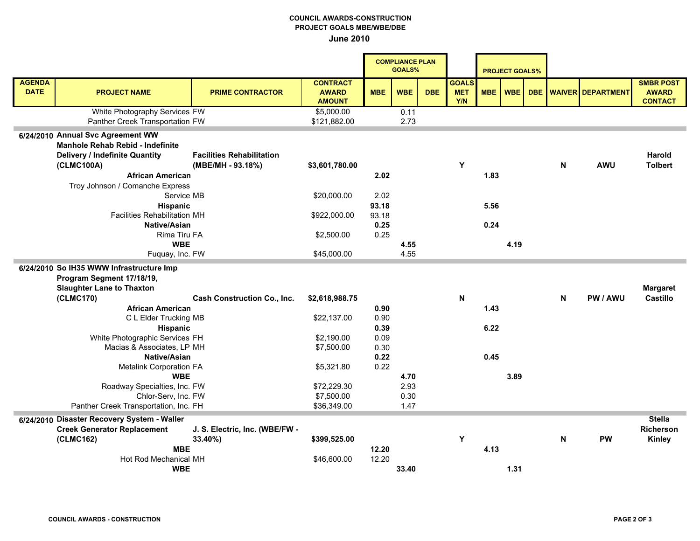## COUNCIL AWARDS-CONSTRUCTION PROJECT GOALS MBE/WBE/DBE June 2010

|                                             |                                                                                                                                                                                                                                                                             |                                                       |                                                  | <b>COMPLIANCE PLAN</b><br><b>GOALS%</b> |                      |            | <b>PROJECT GOALS%</b>             |                      |            |            |   |                          |                                                    |
|---------------------------------------------|-----------------------------------------------------------------------------------------------------------------------------------------------------------------------------------------------------------------------------------------------------------------------------|-------------------------------------------------------|--------------------------------------------------|-----------------------------------------|----------------------|------------|-----------------------------------|----------------------|------------|------------|---|--------------------------|----------------------------------------------------|
| <b>AGENDA</b><br><b>DATE</b>                | <b>PROJECT NAME</b>                                                                                                                                                                                                                                                         | <b>PRIME CONTRACTOR</b>                               | <b>CONTRACT</b><br><b>AWARD</b><br><b>AMOUNT</b> | <b>MBE</b>                              | <b>WBE</b>           | <b>DBE</b> | <b>GOALS</b><br><b>MET</b><br>Y/N | <b>MBE</b>           | <b>WBE</b> | <b>DBE</b> |   | <b>WAIVER DEPARTMENT</b> | <b>SMBR POST</b><br><b>AWARD</b><br><b>CONTACT</b> |
|                                             | White Photography Services FW<br>Panther Creek Transportation FW                                                                                                                                                                                                            |                                                       | \$5,000.00<br>\$121,882.00                       |                                         | 0.11<br>2.73         |            |                                   |                      |            |            |   |                          |                                                    |
|                                             | 6/24/2010 Annual Svc Agreement WW<br>Manhole Rehab Rebid - Indefinite<br><b>Delivery / Indefinite Quantity</b><br>(CLMC100A)<br><b>African American</b><br>Troy Johnson / Comanche Express<br>Service MB<br>Hispanic<br><b>Facilities Rehabilitation MH</b><br>Native/Asian | <b>Facilities Rehabilitation</b><br>(MBE/MH - 93.18%) | \$3,601,780.00<br>\$20,000.00<br>\$922,000.00    | 2.02<br>2.02<br>93.18<br>93.18<br>0.25  |                      |            | Y                                 | 1.83<br>5.56<br>0.24 |            |            | N | <b>AWU</b>               | <b>Harold</b><br><b>Tolbert</b>                    |
|                                             | Rima Tiru FA<br><b>WBE</b>                                                                                                                                                                                                                                                  |                                                       | \$2,500.00                                       | 0.25                                    | 4.55                 |            |                                   |                      | 4.19       |            |   |                          |                                                    |
|                                             | Fuquay, Inc. FW                                                                                                                                                                                                                                                             |                                                       | \$45,000.00                                      |                                         | 4.55                 |            |                                   |                      |            |            |   |                          |                                                    |
|                                             | 6/24/2010 So IH35 WWW Infrastructure Imp<br>Program Segment 17/18/19,<br><b>Slaughter Lane to Thaxton</b>                                                                                                                                                                   |                                                       |                                                  |                                         |                      |            |                                   |                      |            |            |   |                          | <b>Margaret</b>                                    |
|                                             | (CLMC170)                                                                                                                                                                                                                                                                   | <b>Cash Construction Co., Inc.</b>                    | \$2,618,988.75                                   |                                         |                      |            | N                                 |                      |            |            | N | PW / AWU                 | <b>Castillo</b>                                    |
|                                             | <b>African American</b><br>C L Elder Trucking MB<br><b>Hispanic</b>                                                                                                                                                                                                         |                                                       | \$22,137.00                                      | 0.90<br>0.90<br>0.39                    |                      |            |                                   | 1.43<br>6.22         |            |            |   |                          |                                                    |
|                                             | White Photographic Services FH<br>Macias & Associates, LP MH                                                                                                                                                                                                                |                                                       | \$2,190.00<br>\$7,500.00                         | 0.09<br>0.30<br>0.22                    |                      |            |                                   | 0.45                 |            |            |   |                          |                                                    |
|                                             | Native/Asian<br><b>Metalink Corporation FA</b><br><b>WBE</b>                                                                                                                                                                                                                |                                                       | \$5,321.80                                       | 0.22                                    | 4.70                 |            |                                   |                      | 3.89       |            |   |                          |                                                    |
|                                             | Roadway Specialties, Inc. FW<br>Chlor-Serv, Inc. FW<br>Panther Creek Transportation, Inc. FH                                                                                                                                                                                |                                                       | \$72,229.30<br>\$7,500.00<br>\$36,349.00         |                                         | 2.93<br>0.30<br>1.47 |            |                                   |                      |            |            |   |                          |                                                    |
| 6/24/2010 Disaster Recovery System - Waller |                                                                                                                                                                                                                                                                             |                                                       |                                                  |                                         |                      |            |                                   |                      |            |            |   | <b>Stella</b>            |                                                    |
|                                             | <b>Creek Generator Replacement</b><br>(CLMC162)<br><b>MBE</b>                                                                                                                                                                                                               | J. S. Electric, Inc. (WBE/FW -<br>33.40%)             | \$399,525.00                                     | 12.20                                   |                      |            | Y                                 | 4.13                 |            |            | N | <b>PW</b>                | <b>Richerson</b><br><b>Kinley</b>                  |
|                                             | Hot Rod Mechanical MH<br><b>WBE</b>                                                                                                                                                                                                                                         |                                                       | \$46,600.00                                      | 12.20                                   | 33.40                |            |                                   |                      | 1.31       |            |   |                          |                                                    |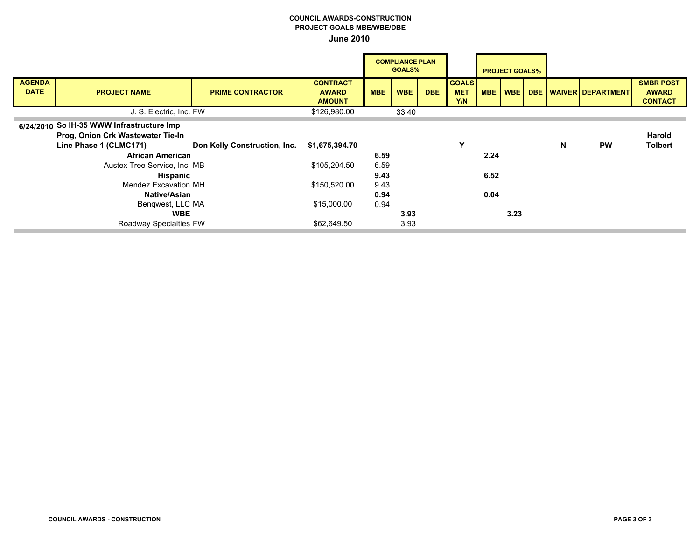## COUNCIL AWARDS-CONSTRUCTION PROJECT GOALS MBE/WBE/DBE June 2010

|                              |                                           | <b>COMPLIANCE PLAN</b><br>GOALS% |                                 |            |            |            |                            | <b>PROJECT GOALS%</b> |      |   |                       |                                  |
|------------------------------|-------------------------------------------|----------------------------------|---------------------------------|------------|------------|------------|----------------------------|-----------------------|------|---|-----------------------|----------------------------------|
| <b>AGENDA</b><br><b>DATE</b> | <b>PROJECT NAME</b>                       | <b>PRIME CONTRACTOR</b>          | <b>CONTRACT</b><br><b>AWARD</b> | <b>MBE</b> | <b>WBE</b> | <b>DBE</b> | <b>GOALS</b><br><b>MET</b> | <b>MBE</b>            | WBE  |   | DBE WAIVER DEPARTMENT | <b>SMBR POST</b><br><b>AWARD</b> |
|                              |                                           |                                  | <b>AMOUNT</b>                   |            |            |            | Y/N                        |                       |      |   |                       | <b>CONTACT</b>                   |
|                              | J. S. Electric, Inc. FW                   |                                  | \$126,980.00                    |            | 33.40      |            |                            |                       |      |   |                       |                                  |
|                              | 6/24/2010 So IH-35 WWW Infrastructure Imp |                                  |                                 |            |            |            |                            |                       |      |   |                       |                                  |
|                              | Prog, Onion Crk Wastewater Tie-In         |                                  |                                 |            |            |            |                            |                       |      |   |                       | Harold                           |
|                              | Line Phase 1 (CLMC171)                    | Don Kelly Construction, Inc.     | \$1,675,394.70                  |            |            |            | Υ                          |                       |      | N | <b>PW</b>             | <b>Tolbert</b>                   |
|                              | <b>African American</b>                   |                                  |                                 | 6.59       |            |            |                            | 2.24                  |      |   |                       |                                  |
|                              | Austex Tree Service, Inc. MB              |                                  | \$105,204.50                    | 6.59       |            |            |                            |                       |      |   |                       |                                  |
| <b>Hispanic</b>              |                                           |                                  | 9.43                            |            |            |            | 6.52                       |                       |      |   |                       |                                  |
| Mendez Excavation MH         |                                           |                                  | \$150,520.00                    | 9.43       |            |            |                            |                       |      |   |                       |                                  |
| <b>Native/Asian</b>          |                                           |                                  |                                 | 0.94       |            |            |                            | 0.04                  |      |   |                       |                                  |
| Bengwest, LLC MA             |                                           |                                  | \$15,000.00                     | 0.94       |            |            |                            |                       |      |   |                       |                                  |
| <b>WBE</b>                   |                                           |                                  |                                 |            | 3.93       |            |                            |                       | 3.23 |   |                       |                                  |
|                              | Roadway Specialties FW                    |                                  | \$62,649.50                     |            | 3.93       |            |                            |                       |      |   |                       |                                  |